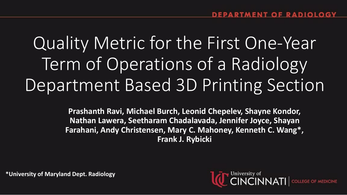# Quality Metric for the First One-Year Term of Operations of a Radiology Department Based 3D Printing Section

**Prashanth Ravi, Michael Burch, Leonid Chepelev, Shayne Kondor, Nathan Lawera, Seetharam Chadalavada, Jennifer Joyce, Shayan Farahani, Andy Christensen, Mary C. Mahoney, Kenneth C. Wang\*, Frank J. Rybicki**

**\*University of Maryland Dept. Radiology** 

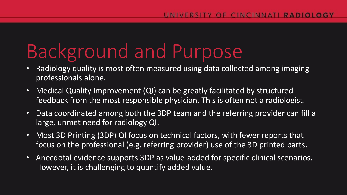# Background and Purpose

- Radiology quality is most often measured using data collected among imaging professionals alone.
- Medical Quality Improvement (QI) can be greatly facilitated by structured feedback from the most responsible physician. This is often not a radiologist.
- Data coordinated among both the 3DP team and the referring provider can fill a large, unmet need for radiology QI.
- Most 3D Printing (3DP) QI focus on technical factors, with fewer reports that focus on the professional (e.g. referring provider) use of the 3D printed parts.
- Anecdotal evidence supports 3DP as value-added for specific clinical scenarios. However, it is challenging to quantify added value.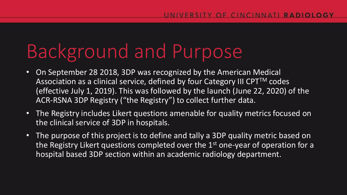# Background and Purpose

- On September 28 2018, 3DP was recognized by the American Medical Association as a clinical service, defined by four Category III CPT™ codes (effective July 1, 2019). This was followed by the launch (June 22, 2020) of the ACR-RSNA 3DP Registry ("the Registry") to collect further data.
- The Registry includes Likert questions amenable for quality metrics focused on the clinical service of 3DP in hospitals.
- The purpose of this project is to define and tally a 3DP quality metric based on the Registry Likert questions completed over the 1<sup>st</sup> one-year of operation for a hospital based 3DP section within an academic radiology department.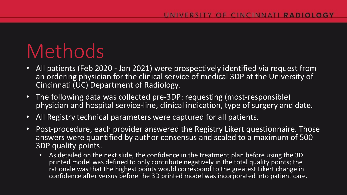## Methods

- All patients (Feb 2020 Jan 2021) were prospectively identified via request from an ordering physician for the clinical service of medical 3DP at the University of Cincinnati (UC) Department of Radiology.
- The following data was collected pre-3DP: requesting (most-responsible) physician and hospital service-line, clinical indication, type of surgery and date.
- All Registry technical parameters were captured for all patients.
- Post-procedure, each provider answered the Registry Likert questionnaire. Those answers were quantified by author consensus and scaled to a maximum of 500 3DP quality points.
	- As detailed on the next slide, the confidence in the treatment plan before using the 3D printed model was defined to only contribute negatively in the total quality points; the rationale was that the highest points would correspond to the greatest Likert change in confidence after versus before the 3D printed model was incorporated into patient care.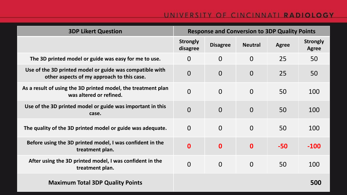#### UNIVERSITY OF CINCINNATI RADIOLOGY

| <b>3DP Likert Question</b>                                                                             | <b>Response and Conversion to 3DP Quality Points</b> |                 |                  |              |                                 |
|--------------------------------------------------------------------------------------------------------|------------------------------------------------------|-----------------|------------------|--------------|---------------------------------|
|                                                                                                        | <b>Strongly</b><br>disagree                          | <b>Disagree</b> | <b>Neutral</b>   | <b>Agree</b> | <b>Strongly</b><br><b>Agree</b> |
| The 3D printed model or guide was easy for me to use.                                                  | $\overline{O}$                                       | $\overline{0}$  | $\overline{0}$   | 25           | 50                              |
| Use of the 3D printed model or guide was compatible with<br>other aspects of my approach to this case. | $\overline{0}$                                       | $\overline{O}$  | $\overline{0}$   | 25           | 50                              |
| As a result of using the 3D printed model, the treatment plan<br>was altered or refined.               | $\overline{0}$                                       | $\overline{0}$  | $\overline{O}$   | 50           | 100                             |
| Use of the 3D printed model or guide was important in this<br>case.                                    | $\overline{0}$                                       | $\overline{0}$  | $\overline{0}$   | 50           | 100                             |
| The quality of the 3D printed model or guide was adequate.                                             | $\overline{0}$                                       | $\overline{0}$  | $\overline{0}$   | 50           | 100                             |
| Before using the 3D printed model, I was confident in the<br>treatment plan.                           | $\bf{0}$                                             | $\mathbf{0}$    | $\boldsymbol{0}$ | $-50$        | $-100$                          |
| After using the 3D printed model, I was confident in the<br>treatment plan.                            | $\overline{0}$                                       | $\overline{0}$  | $\overline{0}$   | 50           | 100                             |
| <b>Maximum Total 3DP Quality Points</b>                                                                |                                                      |                 |                  |              | 500                             |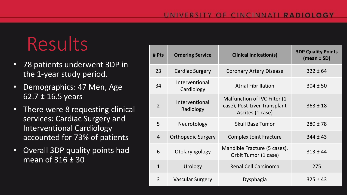# Results

- 78 patients underwent 3DP in the 1-year study period.
- Demographics: 47 Men, Age 62.7 **±** 16.5 years
- There were 8 requesting clinical services: Cardiac Surgery and Interventional Cardiology accounted for 73% of patients
- Overall 3DP quality points had mean of 316 **±** 30

| # Pts          | <b>Ordering Service</b>      | <b>Clinical Indication(s)</b>                                                    | <b>3DP Quality Points</b><br>$(mean \pm SD)$ |
|----------------|------------------------------|----------------------------------------------------------------------------------|----------------------------------------------|
| 23             | <b>Cardiac Surgery</b>       | <b>Coronary Artery Disease</b>                                                   | $322 \pm 64$                                 |
| 34             | Interventional<br>Cardiology | <b>Atrial Fibrillation</b>                                                       | $304 \pm 50$                                 |
| $\overline{2}$ | Interventional<br>Radiology  | Malfunction of IVC Filter (1<br>case), Post-Liver Transplant<br>Ascites (1 case) | $363 \pm 18$                                 |
| 5              | Neurotology                  | <b>Skull Base Tumor</b>                                                          | $280 \pm 78$                                 |
| $\overline{4}$ | <b>Orthopedic Surgery</b>    | <b>Complex Joint Fracture</b>                                                    | $344 \pm 43$                                 |
| 6              | Otolaryngology               | Mandible Fracture (5 cases),<br>Orbit Tumor (1 case)                             | $313 \pm 44$                                 |
| $\mathbf{1}$   | Urology                      | <b>Renal Cell Carcinoma</b>                                                      | 275                                          |
| 3              | <b>Vascular Surgery</b>      | Dysphagia                                                                        | $325 \pm 43$                                 |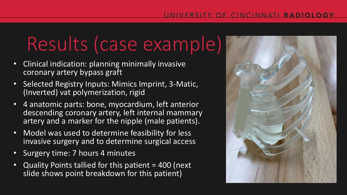## Results (case example)

- Clinical indication: planning minimally invasive coronary artery bypass graft
- Selected Registry Inputs: Mimics Imprint, 3-Matic, (Inverted) vat polymerization, rigid
- 4 anatomic parts: bone, myocardium, left anterior descending coronary artery, left internal mammary artery and a marker for the nipple (male patients).
- Model was used to determine feasibility for less invasive surgery and to determine surgical access
- Surgery time: 7 hours 4 minutes
- Quality Points tallied for this patient = 400 (next slide shows point breakdown for this patient)

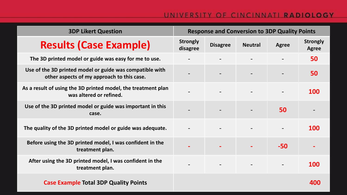#### UNIVERSITY OF CINCINNATI RADIOLOGY

| <b>3DP Likert Question</b>                                                                             | <b>Response and Conversion to 3DP Quality Points</b> |                 |                |                          |                                 |
|--------------------------------------------------------------------------------------------------------|------------------------------------------------------|-----------------|----------------|--------------------------|---------------------------------|
| <b>Results (Case Example)</b>                                                                          | <b>Strongly</b><br>disagree                          | <b>Disagree</b> | <b>Neutral</b> | <b>Agree</b>             | <b>Strongly</b><br><b>Agree</b> |
| The 3D printed model or guide was easy for me to use.                                                  |                                                      |                 |                |                          | 50                              |
| Use of the 3D printed model or guide was compatible with<br>other aspects of my approach to this case. |                                                      |                 |                | $\overline{\phantom{a}}$ | 50                              |
| As a result of using the 3D printed model, the treatment plan<br>was altered or refined.               |                                                      |                 |                |                          | <b>100</b>                      |
| Use of the 3D printed model or guide was important in this<br>case.                                    |                                                      |                 |                | 50                       |                                 |
| The quality of the 3D printed model or guide was adequate.                                             |                                                      |                 |                | $\overline{\phantom{a}}$ | <b>100</b>                      |
| Before using the 3D printed model, I was confident in the<br>treatment plan.                           |                                                      |                 |                | $-50$                    |                                 |
| After using the 3D printed model, I was confident in the<br>treatment plan.                            | $\overline{\phantom{a}}$                             |                 |                | $\overline{\phantom{m}}$ | <b>100</b>                      |
| <b>Case Example Total 3DP Quality Points</b>                                                           |                                                      |                 |                |                          | 400                             |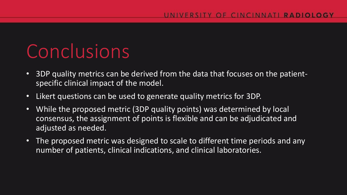## Conclusions

- 3DP quality metrics can be derived from the data that focuses on the patientspecific clinical impact of the model.
- Likert questions can be used to generate quality metrics for 3DP.
- While the proposed metric (3DP quality points) was determined by local consensus, the assignment of points is flexible and can be adjudicated and adjusted as needed.
- The proposed metric was designed to scale to different time periods and any number of patients, clinical indications, and clinical laboratories.